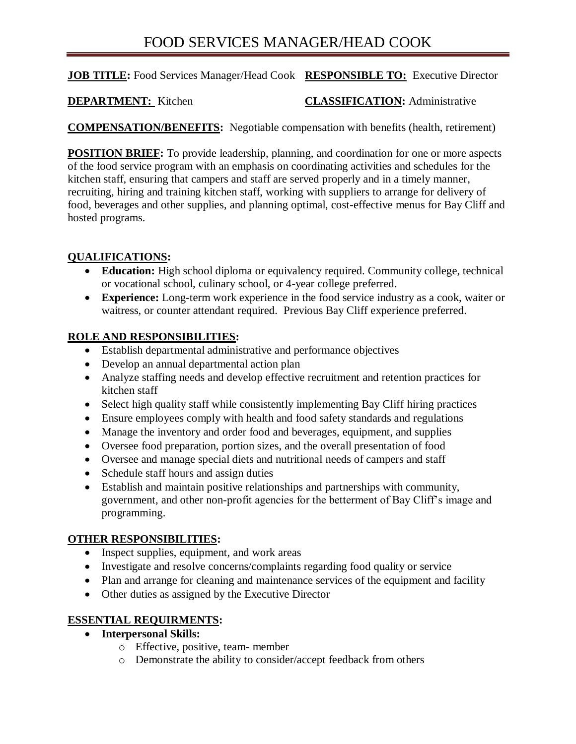# FOOD SERVICES MANAGER/HEAD COOK

### **JOB TITLE:** Food Services Manager/Head Cook **RESPONSIBLE TO:** Executive Director

# **DEPARTMENT:** Kitchen **CLASSIFICATION:** Administrative

**COMPENSATION/BENEFITS:** Negotiable compensation with benefits (health, retirement)

**POSITION BRIEF:** To provide leadership, planning, and coordination for one or more aspects of the food service program with an emphasis on coordinating activities and schedules for the kitchen staff, ensuring that campers and staff are served properly and in a timely manner, recruiting, hiring and training kitchen staff, working with suppliers to arrange for delivery of food, beverages and other supplies, and planning optimal, cost-effective menus for Bay Cliff and hosted programs.

### **QUALIFICATIONS:**

- **Education:** High school diploma or equivalency required. Community college, technical or vocational school, culinary school, or 4-year college preferred.
- **Experience:** Long-term work experience in the food service industry as a cook, waiter or waitress, or counter attendant required. Previous Bay Cliff experience preferred.

# **ROLE AND RESPONSIBILITIES:**

- Establish departmental administrative and performance objectives
- Develop an annual departmental action plan
- Analyze staffing needs and develop effective recruitment and retention practices for kitchen staff
- Select high quality staff while consistently implementing Bay Cliff hiring practices
- Ensure employees comply with health and food safety standards and regulations
- Manage the inventory and order food and beverages, equipment, and supplies
- Oversee food preparation, portion sizes, and the overall presentation of food
- Oversee and manage special diets and nutritional needs of campers and staff
- Schedule staff hours and assign duties
- Establish and maintain positive relationships and partnerships with community, government, and other non-profit agencies for the betterment of Bay Cliff's image and programming.

#### **OTHER RESPONSIBILITIES:**

- Inspect supplies, equipment, and work areas
- Investigate and resolve concerns/complaints regarding food quality or service
- Plan and arrange for cleaning and maintenance services of the equipment and facility
- Other duties as assigned by the Executive Director

# **ESSENTIAL REQUIRMENTS:**

- **Interpersonal Skills:**
	- o Effective, positive, team- member
	- o Demonstrate the ability to consider/accept feedback from others